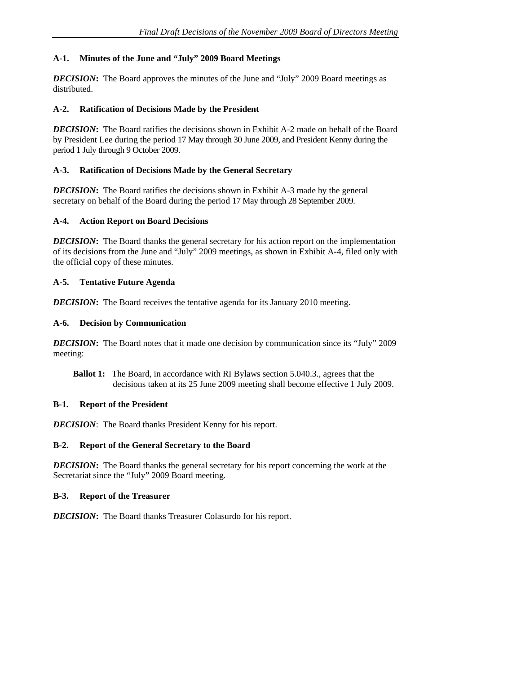### **A-1. Minutes of the June and "July" 2009 Board Meetings**

*DECISION***:** The Board approves the minutes of the June and "July" 2009 Board meetings as distributed.

#### **A-2. Ratification of Decisions Made by the President**

*DECISION*: The Board ratifies the decisions shown in Exhibit A-2 made on behalf of the Board by President Lee during the period 17 May through 30 June 2009, and President Kenny during the period 1 July through 9 October 2009.

#### **A-3. Ratification of Decisions Made by the General Secretary**

*DECISION*: The Board ratifies the decisions shown in Exhibit A-3 made by the general secretary on behalf of the Board during the period 17 May through 28 September 2009.

#### **A-4. Action Report on Board Decisions**

*DECISION*: The Board thanks the general secretary for his action report on the implementation of its decisions from the June and "July" 2009 meetings, as shown in Exhibit A-4, filed only with the official copy of these minutes.

### **A-5. Tentative Future Agenda**

*DECISION***:** The Board receives the tentative agenda for its January 2010 meeting.

#### **A-6. Decision by Communication**

*DECISION*: The Board notes that it made one decision by communication since its "July" 2009 meeting:

**Ballot 1:** The Board, in accordance with RI Bylaws section 5.040.3., agrees that the decisions taken at its 25 June 2009 meeting shall become effective 1 July 2009.

### **B-1. Report of the President**

*DECISION*: The Board thanks President Kenny for his report.

### **B-2. Report of the General Secretary to the Board**

*DECISION***:** The Board thanks the general secretary for his report concerning the work at the Secretariat since the "July" 2009 Board meeting.

### **B-3. Report of the Treasurer**

*DECISION***:** The Board thanks Treasurer Colasurdo for his report.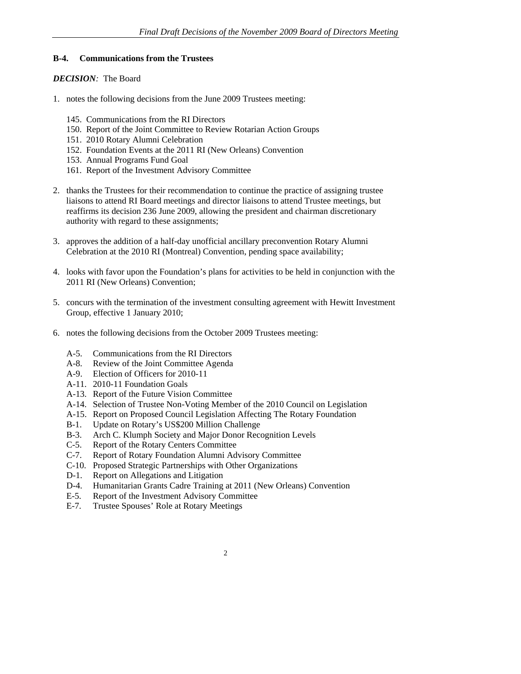#### **B-4. Communications from the Trustees**

- 1. notes the following decisions from the June 2009 Trustees meeting:
	- 145. Communications from the RI Directors
	- 150. Report of the Joint Committee to Review Rotarian Action Groups
	- 151. 2010 Rotary Alumni Celebration
	- 152. Foundation Events at the 2011 RI (New Orleans) Convention
	- 153. Annual Programs Fund Goal
	- 161. Report of the Investment Advisory Committee
- 2. thanks the Trustees for their recommendation to continue the practice of assigning trustee liaisons to attend RI Board meetings and director liaisons to attend Trustee meetings, but reaffirms its decision 236 June 2009, allowing the president and chairman discretionary authority with regard to these assignments;
- 3. approves the addition of a half-day unofficial ancillary preconvention Rotary Alumni Celebration at the 2010 RI (Montreal) Convention, pending space availability;
- 4. looks with favor upon the Foundation's plans for activities to be held in conjunction with the 2011 RI (New Orleans) Convention;
- 5. concurs with the termination of the investment consulting agreement with Hewitt Investment Group, effective 1 January 2010;
- 6. notes the following decisions from the October 2009 Trustees meeting:
	- A-5. Communications from the RI Directors
	- A-8. Review of the Joint Committee Agenda
	- A-9. Election of Officers for 2010-11
	- A-11. 2010-11 Foundation Goals
	- A-13. Report of the Future Vision Committee
	- A-14. Selection of Trustee Non-Voting Member of the 2010 Council on Legislation
	- A-15. Report on Proposed Council Legislation Affecting The Rotary Foundation
	- B-1. Update on Rotary's US\$200 Million Challenge
	- B-3. Arch C. Klumph Society and Major Donor Recognition Levels
	- C-5. Report of the Rotary Centers Committee
	- C-7. Report of Rotary Foundation Alumni Advisory Committee
	- C-10. Proposed Strategic Partnerships with Other Organizations
	- D-1. Report on Allegations and Litigation
	- D-4. Humanitarian Grants Cadre Training at 2011 (New Orleans) Convention
	- E-5. Report of the Investment Advisory Committee
	- E-7. Trustee Spouses' Role at Rotary Meetings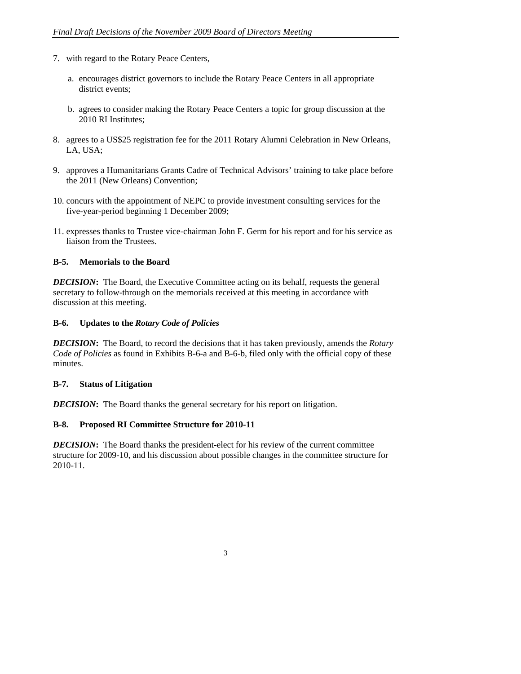- 7. with regard to the Rotary Peace Centers,
	- a. encourages district governors to include the Rotary Peace Centers in all appropriate district events;
	- b. agrees to consider making the Rotary Peace Centers a topic for group discussion at the 2010 RI Institutes;
- 8. agrees to a US\$25 registration fee for the 2011 Rotary Alumni Celebration in New Orleans, LA, USA;
- 9. approves a Humanitarians Grants Cadre of Technical Advisors' training to take place before the 2011 (New Orleans) Convention;
- 10. concurs with the appointment of NEPC to provide investment consulting services for the five-year-period beginning 1 December 2009;
- 11. expresses thanks to Trustee vice-chairman John F. Germ for his report and for his service as liaison from the Trustees.

## **B-5. Memorials to the Board**

*DECISION*: The Board, the Executive Committee acting on its behalf, requests the general secretary to follow-through on the memorials received at this meeting in accordance with discussion at this meeting.

#### **B-6. Updates to the** *Rotary Code of Policies*

*DECISION***:** The Board, to record the decisions that it has taken previously, amends the *Rotary Code of Policies* as found in Exhibits B-6-a and B-6-b, filed only with the official copy of these minutes.

### **B-7. Status of Litigation**

*DECISION*: The Board thanks the general secretary for his report on litigation.

### **B-8. Proposed RI Committee Structure for 2010-11**

*DECISION***:** The Board thanks the president-elect for his review of the current committee structure for 2009-10, and his discussion about possible changes in the committee structure for 2010-11.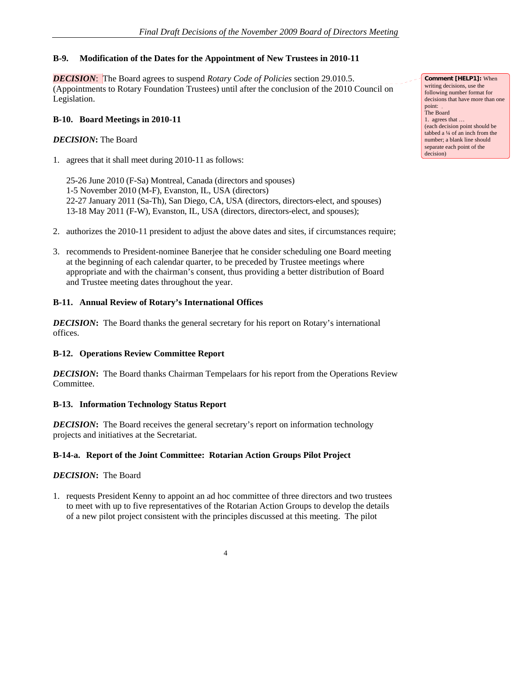## **B-9. Modification of the Dates for the Appointment of New Trustees in 2010-11**

#### *DECISION*: The Board agrees to suspend *Rotary Code of Policies* section 29.010.5.

(Appointments to Rotary Foundation Trustees) until after the conclusion of the 2010 Council on Legislation.

### **B-10. Board Meetings in 2010-11**

### *DECISION***:** The Board

1. agrees that it shall meet during 2010-11 as follows:

25-26 June 2010 (F-Sa) Montreal, Canada (directors and spouses) 1-5 November 2010 (M-F), Evanston, IL, USA (directors) 22-27 January 2011 (Sa-Th), San Diego, CA, USA (directors, directors-elect, and spouses) 13-18 May 2011 (F-W), Evanston, IL, USA (directors, directors-elect, and spouses);

- 2. authorizes the 2010-11 president to adjust the above dates and sites, if circumstances require;
- 3. recommends to President-nominee Banerjee that he consider scheduling one Board meeting at the beginning of each calendar quarter, to be preceded by Trustee meetings where appropriate and with the chairman's consent, thus providing a better distribution of Board and Trustee meeting dates throughout the year.

### **B-11. Annual Review of Rotary's International Offices**

*DECISION*: The Board thanks the general secretary for his report on Rotary's international offices.

# **B-12. Operations Review Committee Report**

*DECISION***:** The Board thanks Chairman Tempelaars for his report from the Operations Review Committee.

### **B-13. Information Technology Status Report**

*DECISION***:** The Board receives the general secretary's report on information technology projects and initiatives at the Secretariat.

### **B-14-a. Report of the Joint Committee: Rotarian Action Groups Pilot Project**

### *DECISION***:**The Board

1. requests President Kenny to appoint an ad hoc committee of three directors and two trustees to meet with up to five representatives of the Rotarian Action Groups to develop the details of a new pilot project consistent with the principles discussed at this meeting. The pilot

**Comment [HELP1]:** When writing decisions, use the following number format for decisions that have more than one point: The Board 1. agrees that … (each decision point should be tabbed a ¼ of an inch from the number; a blank line should separate each point of the decision)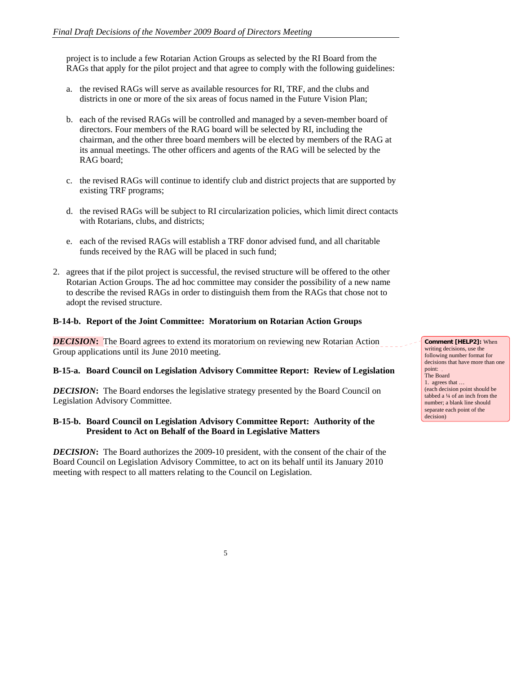project is to include a few Rotarian Action Groups as selected by the RI Board from the RAGs that apply for the pilot project and that agree to comply with the following guidelines:

- a. the revised RAGs will serve as available resources for RI, TRF, and the clubs and districts in one or more of the six areas of focus named in the Future Vision Plan;
- b. each of the revised RAGs will be controlled and managed by a seven-member board of directors. Four members of the RAG board will be selected by RI, including the chairman, and the other three board members will be elected by members of the RAG at its annual meetings. The other officers and agents of the RAG will be selected by the RAG board;
- c. the revised RAGs will continue to identify club and district projects that are supported by existing TRF programs;
- d. the revised RAGs will be subject to RI circularization policies, which limit direct contacts with Rotarians, clubs, and districts;
- e. each of the revised RAGs will establish a TRF donor advised fund, and all charitable funds received by the RAG will be placed in such fund;
- 2. agrees that if the pilot project is successful, the revised structure will be offered to the other Rotarian Action Groups. The ad hoc committee may consider the possibility of a new name to describe the revised RAGs in order to distinguish them from the RAGs that chose not to adopt the revised structure.

### **B-14-b. Report of the Joint Committee: Moratorium on Rotarian Action Groups**

*DECISION*: The Board agrees to extend its moratorium on reviewing new Rotarian Action Group applications until its June 2010 meeting.

### **B-15-a. Board Council on Legislation Advisory Committee Report: Review of Legislation**

*DECISION*: The Board endorses the legislative strategy presented by the Board Council on Legislation Advisory Committee.

### **B-15-b. Board Council on Legislation Advisory Committee Report: Authority of the President to Act on Behalf of the Board in Legislative Matters**

*DECISION***:** The Board authorizes the 2009-10 president, with the consent of the chair of the Board Council on Legislation Advisory Committee, to act on its behalf until its January 2010 meeting with respect to all matters relating to the Council on Legislation.

**Comment [HELP2]:** When writing decisions, use the following number format for decisions that have more than one point: The Board 1. agrees that … (each decision point should be tabbed a ¼ of an inch from the number; a blank line should separate each point of the decision)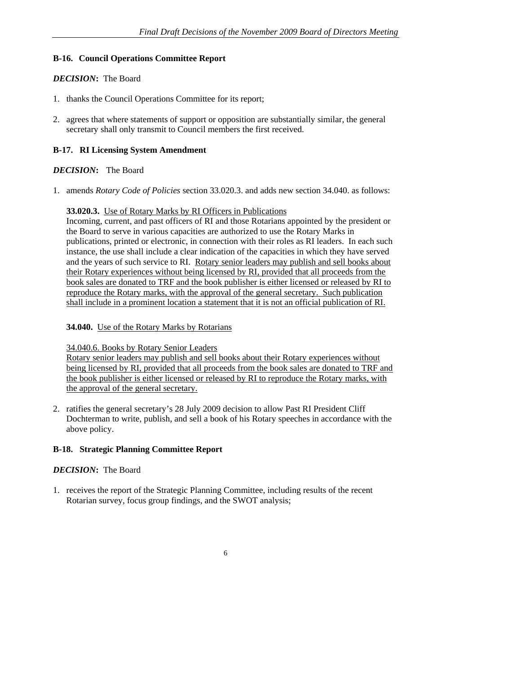### **B-16. Council Operations Committee Report**

### *DECISION***:** The Board

- 1. thanks the Council Operations Committee for its report;
- 2. agrees that where statements of support or opposition are substantially similar, the general secretary shall only transmit to Council members the first received.

# **B-17. RI Licensing System Amendment**

## *DECISION***:** The Board

1. amends *Rotary Code of Policies* section 33.020.3. and adds new section 34.040. as follows:

### **33.020.3.** Use of Rotary Marks by RI Officers in Publications

Incoming, current, and past officers of RI and those Rotarians appointed by the president or the Board to serve in various capacities are authorized to use the Rotary Marks in publications, printed or electronic, in connection with their roles as RI leaders. In each such instance, the use shall include a clear indication of the capacities in which they have served and the years of such service to RI. Rotary senior leaders may publish and sell books about their Rotary experiences without being licensed by RI, provided that all proceeds from the book sales are donated to TRF and the book publisher is either licensed or released by RI to reproduce the Rotary marks, with the approval of the general secretary. Such publication shall include in a prominent location a statement that it is not an official publication of RI.

### **34.040.** Use of the Rotary Marks by Rotarians

### 34.040.6. Books by Rotary Senior Leaders

Rotary senior leaders may publish and sell books about their Rotary experiences without being licensed by RI, provided that all proceeds from the book sales are donated to TRF and the book publisher is either licensed or released by RI to reproduce the Rotary marks, with the approval of the general secretary.

2. ratifies the general secretary's 28 July 2009 decision to allow Past RI President Cliff Dochterman to write, publish, and sell a book of his Rotary speeches in accordance with the above policy.

### **B-18. Strategic Planning Committee Report**

### *DECISION***:** The Board

1. receives the report of the Strategic Planning Committee, including results of the recent Rotarian survey, focus group findings, and the SWOT analysis;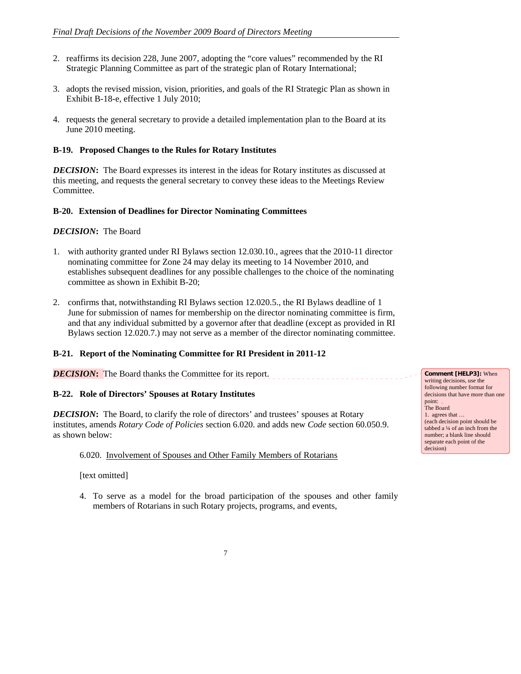- 2. reaffirms its decision 228, June 2007, adopting the "core values" recommended by the RI Strategic Planning Committee as part of the strategic plan of Rotary International;
- 3. adopts the revised mission, vision, priorities, and goals of the RI Strategic Plan as shown in Exhibit B-18-e, effective 1 July 2010;
- 4. requests the general secretary to provide a detailed implementation plan to the Board at its June 2010 meeting.

### **B-19. Proposed Changes to the Rules for Rotary Institutes**

*DECISION*: The Board expresses its interest in the ideas for Rotary institutes as discussed at this meeting, and requests the general secretary to convey these ideas to the Meetings Review Committee.

#### **B-20. Extension of Deadlines for Director Nominating Committees**

#### *DECISION***:** The Board

- 1. with authority granted under RI Bylaws section 12.030.10., agrees that the 2010-11 director nominating committee for Zone 24 may delay its meeting to 14 November 2010, and establishes subsequent deadlines for any possible challenges to the choice of the nominating committee as shown in Exhibit B-20;
- 2. confirms that, notwithstanding RI Bylaws section 12.020.5., the RI Bylaws deadline of 1 June for submission of names for membership on the director nominating committee is firm, and that any individual submitted by a governor after that deadline (except as provided in RI Bylaws section 12.020.7.) may not serve as a member of the director nominating committee.

### **B-21. Report of the Nominating Committee for RI President in 2011-12**

**DECISION:** The Board thanks the Committee for its report.

### **B-22. Role of Directors' Spouses at Rotary Institutes**

*DECISION*: The Board, to clarify the role of directors' and trustees' spouses at Rotary institutes, amends *Rotary Code of Policies* section 6.020. and adds new *Code* section 60.050.9. as shown below:

6.020.Involvement of Spouses and Other Family Members of Rotarians

[text omitted]

4. To serve as a model for the broad participation of the spouses and other family members of Rotarians in such Rotary projects, programs, and events,

**Comment [HELP3]:** When writing decisions, use the following number format for decisions that have more than one point: The Board 1. agrees that … (each decision point should be tabbed a ¼ of an inch from the number; a blank line should separate each point of the decision)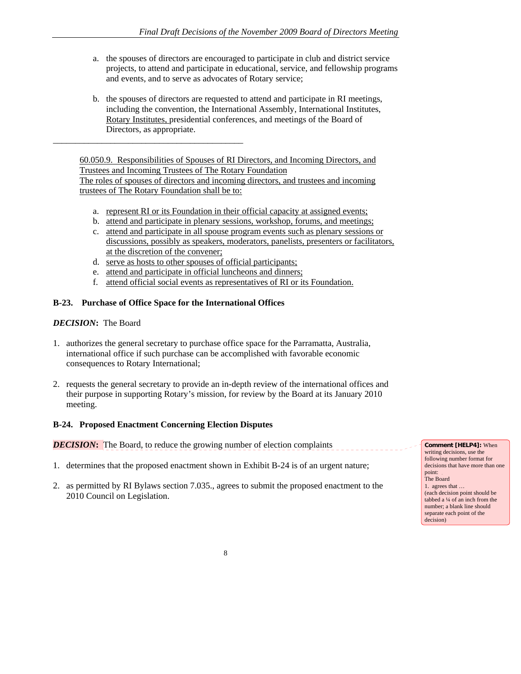- a. the spouses of directors are encouraged to participate in club and district service projects, to attend and participate in educational, service, and fellowship programs and events, and to serve as advocates of Rotary service;
- b. the spouses of directors are requested to attend and participate in RI meetings, including the convention, the International Assembly, International Institutes, Rotary Institutes, presidential conferences, and meetings of the Board of Directors, as appropriate.

60.050.9. Responsibilities of Spouses of RI Directors, and Incoming Directors, and Trustees and Incoming Trustees of The Rotary Foundation The roles of spouses of directors and incoming directors, and trustees and incoming trustees of The Rotary Foundation shall be to:

- a. represent RI or its Foundation in their official capacity at assigned events;
- b. attend and participate in plenary sessions, workshop, forums, and meetings;
- c. attend and participate in all spouse program events such as plenary sessions or discussions, possibly as speakers, moderators, panelists, presenters or facilitators, at the discretion of the convener;
- d. serve as hosts to other spouses of official participants;
- e. attend and participate in official luncheons and dinners;
- f. attend official social events as representatives of RI or its Foundation.

### **B-23. Purchase of Office Space for the International Offices**

\_\_\_\_\_\_\_\_\_\_\_\_\_\_\_\_\_\_\_\_\_\_\_\_\_\_\_\_\_\_\_\_\_\_\_\_\_\_\_\_\_\_\_

### *DECISION***:** The Board

- 1. authorizes the general secretary to purchase office space for the Parramatta, Australia, international office if such purchase can be accomplished with favorable economic consequences to Rotary International;
- 2. requests the general secretary to provide an in-depth review of the international offices and their purpose in supporting Rotary's mission, for review by the Board at its January 2010 meeting.

#### **B-24. Proposed Enactment Concerning Election Disputes**

*DECISION*: The Board, to reduce the growing number of election complaints

- 1. determines that the proposed enactment shown in Exhibit B-24 is of an urgent nature;
- 2. as permitted by RI Bylaws section 7.035., agrees to submit the proposed enactment to the 2010 Council on Legislation.

**Comment [HELP4]:** When writing decisions, use the following number format for decisions that have more than one point: The Board 1. agrees that … (each decision point should be tabbed a ¼ of an inch from the number; a blank line should separate each point of the decision)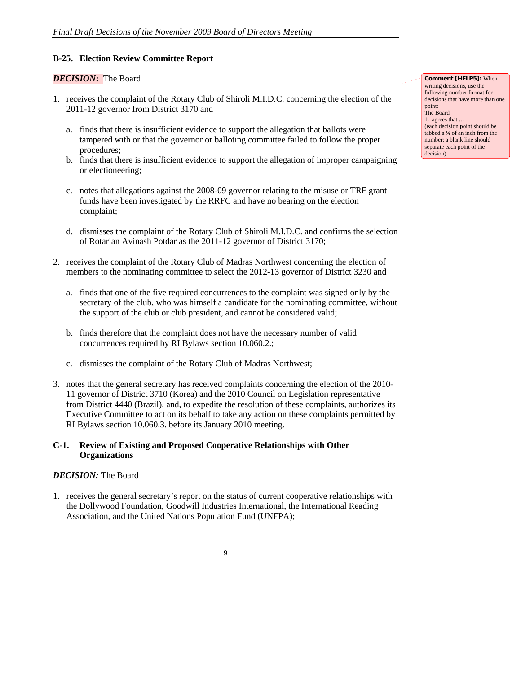### **B-25. Election Review Committee Report**

### *DECISION***:** The Board

1. receives the complaint of the Rotary Club of Shiroli M.I.D.C. concerning the election of the 2011-12 governor from District 3170 and

\_\_\_\_\_\_\_\_\_\_\_\_\_\_\_\_\_\_\_\_\_\_\_\_\_\_\_

- a. finds that there is insufficient evidence to support the allegation that ballots were tampered with or that the governor or balloting committee failed to follow the proper procedures;
- b. finds that there is insufficient evidence to support the allegation of improper campaigning or electioneering;
- c. notes that allegations against the 2008-09 governor relating to the misuse or TRF grant funds have been investigated by the RRFC and have no bearing on the election complaint;
- d. dismisses the complaint of the Rotary Club of Shiroli M.I.D.C. and confirms the selection of Rotarian Avinash Potdar as the 2011-12 governor of District 3170;
- 2. receives the complaint of the Rotary Club of Madras Northwest concerning the election of members to the nominating committee to select the 2012-13 governor of District 3230 and
	- a. finds that one of the five required concurrences to the complaint was signed only by the secretary of the club, who was himself a candidate for the nominating committee, without the support of the club or club president, and cannot be considered valid;
	- b. finds therefore that the complaint does not have the necessary number of valid concurrences required by RI Bylaws section 10.060.2.;
	- c. dismisses the complaint of the Rotary Club of Madras Northwest;
- 3. notes that the general secretary has received complaints concerning the election of the 2010- 11 governor of District 3710 (Korea) and the 2010 Council on Legislation representative from District 4440 (Brazil), and, to expedite the resolution of these complaints, authorizes its Executive Committee to act on its behalf to take any action on these complaints permitted by RI Bylaws section 10.060.3. before its January 2010 meeting.

### **C-1. Review of Existing and Proposed Cooperative Relationships with Other Organizations**

### *DECISION:* The Board

1. receives the general secretary's report on the status of current cooperative relationships with the Dollywood Foundation, Goodwill Industries International, the International Reading Association, and the United Nations Population Fund (UNFPA);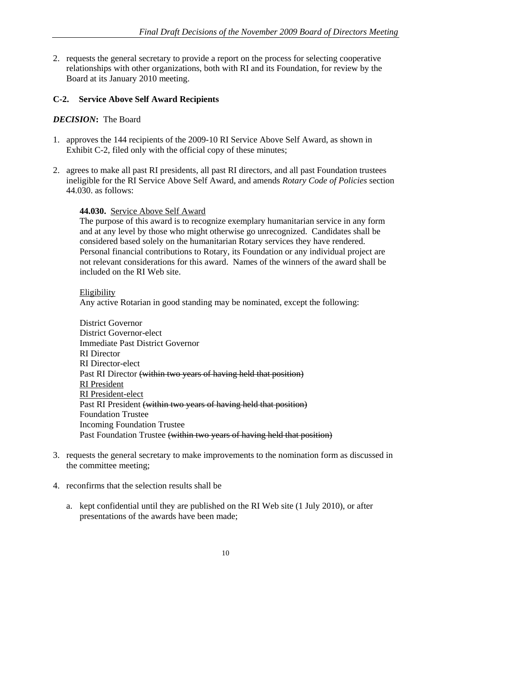2. requests the general secretary to provide a report on the process for selecting cooperative relationships with other organizations, both with RI and its Foundation, for review by the Board at its January 2010 meeting.

### **C-2. Service Above Self Award Recipients**

### *DECISION***:** The Board

- 1. approves the 144 recipients of the 2009-10 RI Service Above Self Award, as shown in Exhibit C-2, filed only with the official copy of these minutes;
- 2. agrees to make all past RI presidents, all past RI directors, and all past Foundation trustees ineligible for the RI Service Above Self Award, and amends *Rotary Code of Policies* section 44.030. as follows:

### **44.030.** Service Above Self Award

The purpose of this award is to recognize exemplary humanitarian service in any form and at any level by those who might otherwise go unrecognized. Candidates shall be considered based solely on the humanitarian Rotary services they have rendered. Personal financial contributions to Rotary, its Foundation or any individual project are not relevant considerations for this award. Names of the winners of the award shall be included on the RI Web site.

### **Eligibility**

Any active Rotarian in good standing may be nominated, except the following:

- District Governor District Governor-elect Immediate Past District Governor RI Director RI Director-elect Past RI Director (within two years of having held that position) RI President RI President-elect Past RI President (within two years of having held that position) Foundation Trustee Incoming Foundation Trustee Past Foundation Trustee (within two years of having held that position)
- 3. requests the general secretary to make improvements to the nomination form as discussed in the committee meeting;
- 4. reconfirms that the selection results shall be
	- a. kept confidential until they are published on the RI Web site (1 July 2010), or after presentations of the awards have been made;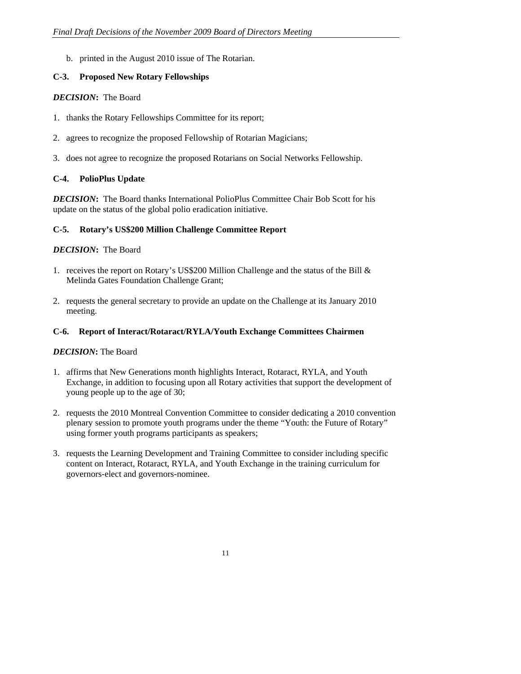b. printed in the August 2010 issue of The Rotarian.

# **C-3. Proposed New Rotary Fellowships**

### *DECISION***:** The Board

- 1. thanks the Rotary Fellowships Committee for its report;
- 2. agrees to recognize the proposed Fellowship of Rotarian Magicians;
- 3. does not agree to recognize the proposed Rotarians on Social Networks Fellowship.

# **C-4. PolioPlus Update**

*DECISION*: The Board thanks International PolioPlus Committee Chair Bob Scott for his update on the status of the global polio eradication initiative.

### **C-5. Rotary's US\$200 Million Challenge Committee Report**

### *DECISION***:** The Board

- 1. receives the report on Rotary's US\$200 Million Challenge and the status of the Bill & Melinda Gates Foundation Challenge Grant;
- 2. requests the general secretary to provide an update on the Challenge at its January 2010 meeting.

### **C-6. Report of Interact/Rotaract/RYLA/Youth Exchange Committees Chairmen**

- 1. affirms that New Generations month highlights Interact, Rotaract, RYLA, and Youth Exchange, in addition to focusing upon all Rotary activities that support the development of young people up to the age of 30;
- 2. requests the 2010 Montreal Convention Committee to consider dedicating a 2010 convention plenary session to promote youth programs under the theme "Youth: the Future of Rotary" using former youth programs participants as speakers;
- 3. requests the Learning Development and Training Committee to consider including specific content on Interact, Rotaract, RYLA, and Youth Exchange in the training curriculum for governors-elect and governors-nominee.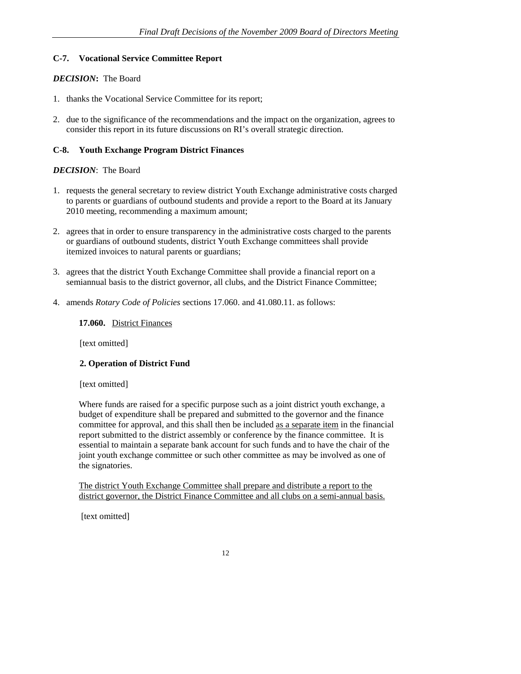### **C-7. Vocational Service Committee Report**

### *DECISION***:** The Board

- 1. thanks the Vocational Service Committee for its report;
- 2. due to the significance of the recommendations and the impact on the organization, agrees to consider this report in its future discussions on RI's overall strategic direction.

# **C-8. Youth Exchange Program District Finances**

### *DECISION*: The Board

- 1. requests the general secretary to review district Youth Exchange administrative costs charged to parents or guardians of outbound students and provide a report to the Board at its January 2010 meeting, recommending a maximum amount;
- 2. agrees that in order to ensure transparency in the administrative costs charged to the parents or guardians of outbound students, district Youth Exchange committees shall provide itemized invoices to natural parents or guardians;
- 3. agrees that the district Youth Exchange Committee shall provide a financial report on a semiannual basis to the district governor, all clubs, and the District Finance Committee;
- 4. amends *Rotary Code of Policies* sections 17.060. and 41.080.11. as follows:

### **17.060.** District Finances

[text omitted]

# **2. Operation of District Fund**

### [text omitted]

Where funds are raised for a specific purpose such as a joint district youth exchange, a budget of expenditure shall be prepared and submitted to the governor and the finance committee for approval, and this shall then be included as a separate item in the financial report submitted to the district assembly or conference by the finance committee. It is essential to maintain a separate bank account for such funds and to have the chair of the joint youth exchange committee or such other committee as may be involved as one of the signatories.

The district Youth Exchange Committee shall prepare and distribute a report to the district governor, the District Finance Committee and all clubs on a semi-annual basis.

[text omitted]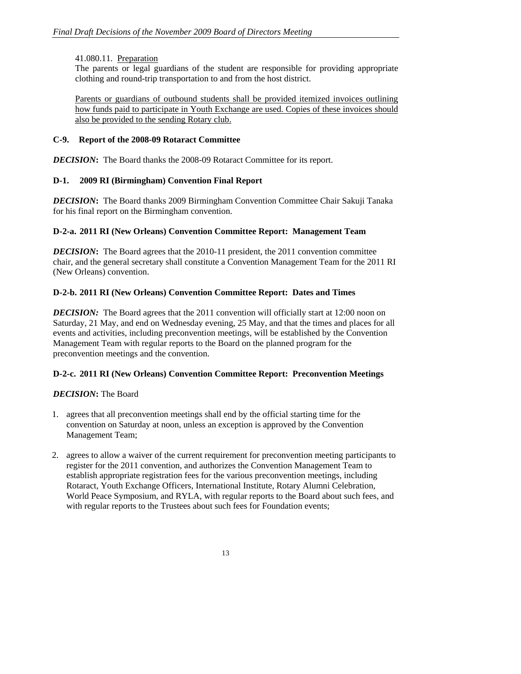### 41.080.11. Preparation

The parents or legal guardians of the student are responsible for providing appropriate clothing and round-trip transportation to and from the host district.

Parents or guardians of outbound students shall be provided itemized invoices outlining how funds paid to participate in Youth Exchange are used. Copies of these invoices should also be provided to the sending Rotary club.

### **C-9. Report of the 2008-09 Rotaract Committee**

*DECISION***:** The Board thanks the 2008-09 Rotaract Committee for its report.

# **D-1. 2009 RI (Birmingham) Convention Final Report**

*DECISION***:** The Board thanks 2009 Birmingham Convention Committee Chair Sakuji Tanaka for his final report on the Birmingham convention.

### **D-2-a. 2011 RI (New Orleans) Convention Committee Report: Management Team**

*DECISION***:**The Board agrees that the 2010-11 president, the 2011 convention committee chair, and the general secretary shall constitute a Convention Management Team for the 2011 RI (New Orleans) convention.

# **D-2-b. 2011 RI (New Orleans) Convention Committee Report: Dates and Times**

**DECISION:** The Board agrees that the 2011 convention will officially start at 12:00 noon on Saturday, 21 May, and end on Wednesday evening, 25 May, and that the times and places for all events and activities, including preconvention meetings, will be established by the Convention Management Team with regular reports to the Board on the planned program for the preconvention meetings and the convention.

# **D-2-c. 2011 RI (New Orleans) Convention Committee Report: Preconvention Meetings**

- 1. agrees that all preconvention meetings shall end by the official starting time for the convention on Saturday at noon, unless an exception is approved by the Convention Management Team;
- 2. agrees to allow a waiver of the current requirement for preconvention meeting participants to register for the 2011 convention, and authorizes the Convention Management Team to establish appropriate registration fees for the various preconvention meetings, including Rotaract, Youth Exchange Officers, International Institute, Rotary Alumni Celebration, World Peace Symposium, and RYLA, with regular reports to the Board about such fees, and with regular reports to the Trustees about such fees for Foundation events;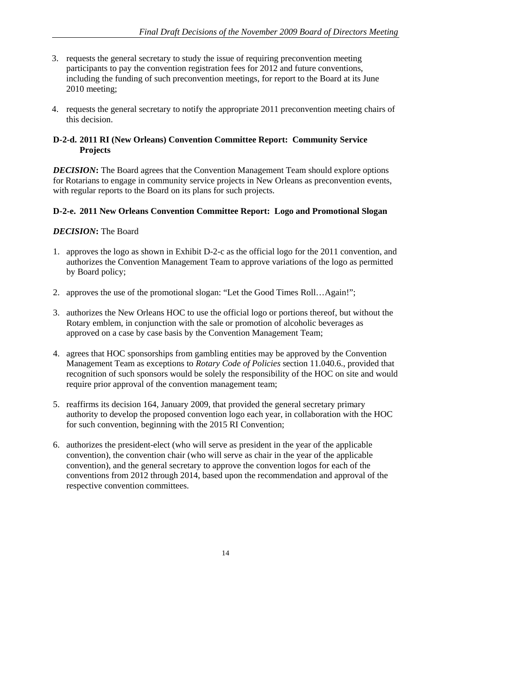- 3. requests the general secretary to study the issue of requiring preconvention meeting participants to pay the convention registration fees for 2012 and future conventions, including the funding of such preconvention meetings, for report to the Board at its June 2010 meeting;
- 4. requests the general secretary to notify the appropriate 2011 preconvention meeting chairs of this decision.

### **D-2-d. 2011 RI (New Orleans) Convention Committee Report: Community Service Projects**

*DECISION*: The Board agrees that the Convention Management Team should explore options for Rotarians to engage in community service projects in New Orleans as preconvention events, with regular reports to the Board on its plans for such projects.

### **D-2-e. 2011 New Orleans Convention Committee Report: Logo and Promotional Slogan**

- 1. approves the logo as shown in Exhibit D-2-c as the official logo for the 2011 convention, and authorizes the Convention Management Team to approve variations of the logo as permitted by Board policy;
- 2. approves the use of the promotional slogan: "Let the Good Times Roll…Again!";
- 3. authorizes the New Orleans HOC to use the official logo or portions thereof, but without the Rotary emblem, in conjunction with the sale or promotion of alcoholic beverages as approved on a case by case basis by the Convention Management Team;
- 4. agrees that HOC sponsorships from gambling entities may be approved by the Convention Management Team as exceptions to *Rotary Code of Policies* section 11.040.6., provided that recognition of such sponsors would be solely the responsibility of the HOC on site and would require prior approval of the convention management team;
- 5. reaffirms its decision 164, January 2009, that provided the general secretary primary authority to develop the proposed convention logo each year, in collaboration with the HOC for such convention, beginning with the 2015 RI Convention;
- 6. authorizes the president-elect (who will serve as president in the year of the applicable convention), the convention chair (who will serve as chair in the year of the applicable convention), and the general secretary to approve the convention logos for each of the conventions from 2012 through 2014, based upon the recommendation and approval of the respective convention committees.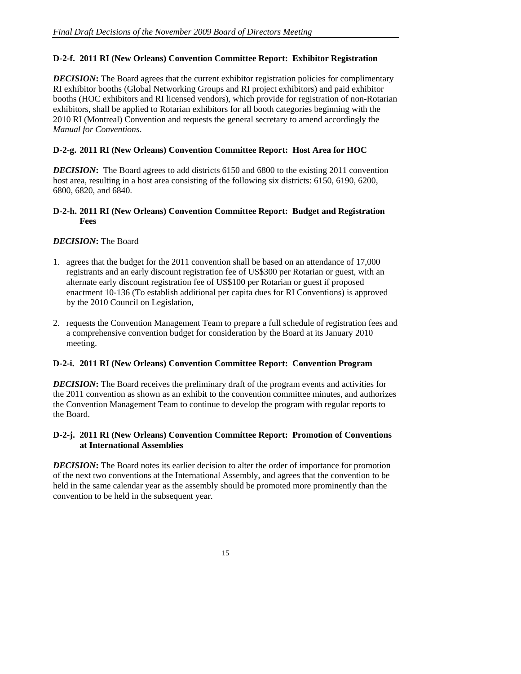## **D-2-f. 2011 RI (New Orleans) Convention Committee Report: Exhibitor Registration**

*DECISION*: The Board agrees that the current exhibitor registration policies for complimentary RI exhibitor booths (Global Networking Groups and RI project exhibitors) and paid exhibitor booths (HOC exhibitors and RI licensed vendors), which provide for registration of non-Rotarian exhibitors, shall be applied to Rotarian exhibitors for all booth categories beginning with the 2010 RI (Montreal) Convention and requests the general secretary to amend accordingly the *Manual for Conventions*.

### **D-2-g. 2011 RI (New Orleans) Convention Committee Report: Host Area for HOC**

*DECISION*: The Board agrees to add districts 6150 and 6800 to the existing 2011 convention host area, resulting in a host area consisting of the following six districts: 6150, 6190, 6200, 6800, 6820, and 6840.

### **D-2-h. 2011 RI (New Orleans) Convention Committee Report: Budget and Registration Fees**

### *DECISION***:** The Board

- 1. agrees that the budget for the 2011 convention shall be based on an attendance of 17,000 registrants and an early discount registration fee of US\$300 per Rotarian or guest, with an alternate early discount registration fee of US\$100 per Rotarian or guest if proposed enactment 10-136 (To establish additional per capita dues for RI Conventions) is approved by the 2010 Council on Legislation,
- 2. requests the Convention Management Team to prepare a full schedule of registration fees and a comprehensive convention budget for consideration by the Board at its January 2010 meeting.

### **D-2-i. 2011 RI (New Orleans) Convention Committee Report: Convention Program**

*DECISION*: The Board receives the preliminary draft of the program events and activities for the 2011 convention as shown as an exhibit to the convention committee minutes, and authorizes the Convention Management Team to continue to develop the program with regular reports to the Board.

### **D-2-j. 2011 RI (New Orleans) Convention Committee Report: Promotion of Conventions at International Assemblies**

*DECISION*: The Board notes its earlier decision to alter the order of importance for promotion of the next two conventions at the International Assembly, and agrees that the convention to be held in the same calendar year as the assembly should be promoted more prominently than the convention to be held in the subsequent year.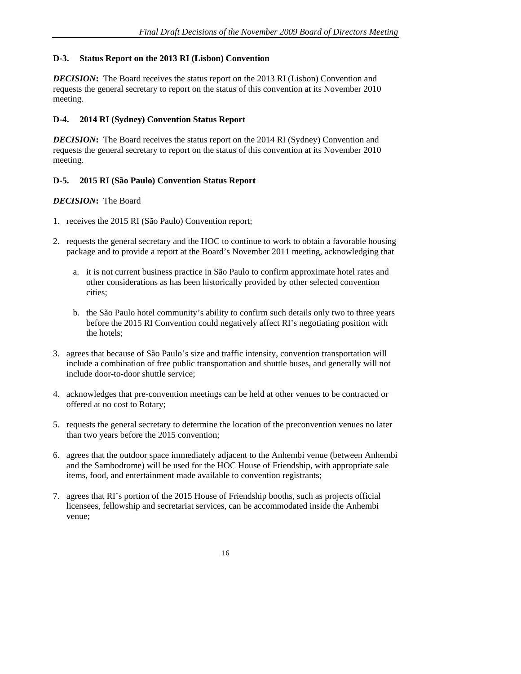### **D-3. Status Report on the 2013 RI (Lisbon) Convention**

*DECISION*: The Board receives the status report on the 2013 RI (Lisbon) Convention and requests the general secretary to report on the status of this convention at its November 2010 meeting.

# **D-4. 2014 RI (Sydney) Convention Status Report**

*DECISION***:** The Board receives the status report on the 2014 RI (Sydney) Convention and requests the general secretary to report on the status of this convention at its November 2010 meeting.

### **D-5. 2015 RI (São Paulo) Convention Status Report**

- 1. receives the 2015 RI (São Paulo) Convention report;
- 2. requests the general secretary and the HOC to continue to work to obtain a favorable housing package and to provide a report at the Board's November 2011 meeting, acknowledging that
	- a. it is not current business practice in São Paulo to confirm approximate hotel rates and other considerations as has been historically provided by other selected convention cities;
	- b. the São Paulo hotel community's ability to confirm such details only two to three years before the 2015 RI Convention could negatively affect RI's negotiating position with the hotels;
- 3. agrees that because of São Paulo's size and traffic intensity, convention transportation will include a combination of free public transportation and shuttle buses, and generally will not include door-to-door shuttle service;
- 4. acknowledges that pre-convention meetings can be held at other venues to be contracted or offered at no cost to Rotary;
- 5. requests the general secretary to determine the location of the preconvention venues no later than two years before the 2015 convention;
- 6. agrees that the outdoor space immediately adjacent to the Anhembi venue (between Anhembi and the Sambodrome) will be used for the HOC House of Friendship, with appropriate sale items, food, and entertainment made available to convention registrants;
- 7. agrees that RI's portion of the 2015 House of Friendship booths, such as projects official licensees, fellowship and secretariat services, can be accommodated inside the Anhembi venue;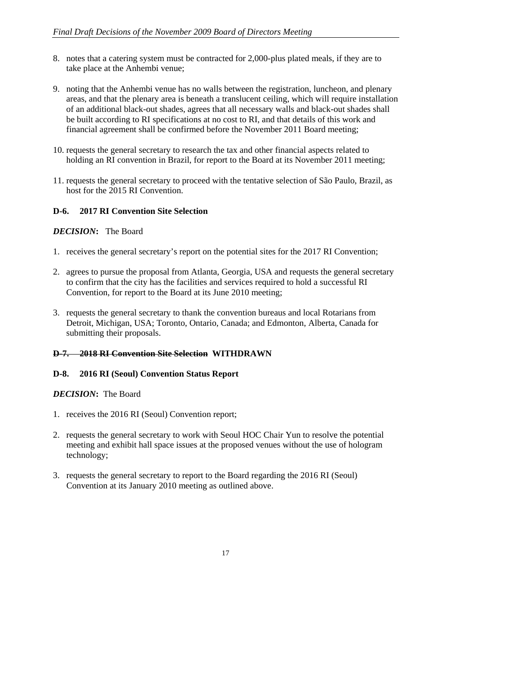- 8. notes that a catering system must be contracted for 2,000-plus plated meals, if they are to take place at the Anhembi venue;
- 9. noting that the Anhembi venue has no walls between the registration, luncheon, and plenary areas, and that the plenary area is beneath a translucent ceiling, which will require installation of an additional black-out shades, agrees that all necessary walls and black-out shades shall be built according to RI specifications at no cost to RI, and that details of this work and financial agreement shall be confirmed before the November 2011 Board meeting;
- 10. requests the general secretary to research the tax and other financial aspects related to holding an RI convention in Brazil, for report to the Board at its November 2011 meeting;
- 11. requests the general secretary to proceed with the tentative selection of São Paulo, Brazil, as host for the 2015 RI Convention.

# **D-6. 2017 RI Convention Site Selection**

### *DECISION***:** The Board

- 1. receives the general secretary's report on the potential sites for the 2017 RI Convention;
- 2. agrees to pursue the proposal from Atlanta, Georgia, USA and requests the general secretary to confirm that the city has the facilities and services required to hold a successful RI Convention, for report to the Board at its June 2010 meeting;
- 3. requests the general secretary to thank the convention bureaus and local Rotarians from Detroit, Michigan, USA; Toronto, Ontario, Canada; and Edmonton, Alberta, Canada for submitting their proposals.

### **D-7. 2018 RI Convention Site Selection WITHDRAWN**

### **D-8. 2016 RI (Seoul) Convention Status Report**

- 1. receives the 2016 RI (Seoul) Convention report;
- 2. requests the general secretary to work with Seoul HOC Chair Yun to resolve the potential meeting and exhibit hall space issues at the proposed venues without the use of hologram technology;
- 3. requests the general secretary to report to the Board regarding the 2016 RI (Seoul) Convention at its January 2010 meeting as outlined above.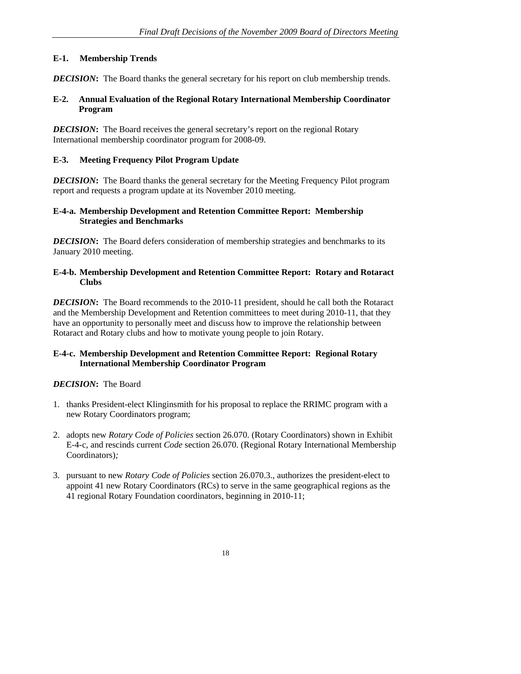## **E-1. Membership Trends**

*DECISION*: The Board thanks the general secretary for his report on club membership trends.

### **E-2. Annual Evaluation of the Regional Rotary International Membership Coordinator Program**

*DECISION*: The Board receives the general secretary's report on the regional Rotary International membership coordinator program for 2008-09.

### **E-3. Meeting Frequency Pilot Program Update**

*DECISION*: The Board thanks the general secretary for the Meeting Frequency Pilot program report and requests a program update at its November 2010 meeting.

### **E-4-a. Membership Development and Retention Committee Report: Membership Strategies and Benchmarks**

*DECISION*: The Board defers consideration of membership strategies and benchmarks to its January 2010 meeting.

### **E-4-b. Membership Development and Retention Committee Report: Rotary and Rotaract Clubs**

*DECISION*: The Board recommends to the 2010-11 president, should he call both the Rotaract and the Membership Development and Retention committees to meet during 2010-11, that they have an opportunity to personally meet and discuss how to improve the relationship between Rotaract and Rotary clubs and how to motivate young people to join Rotary.

# **E-4-c. Membership Development and Retention Committee Report: Regional Rotary International Membership Coordinator Program**

- 1. thanks President-elect Klinginsmith for his proposal to replace the RRIMC program with a new Rotary Coordinators program;
- 2. adopts new *Rotary Code of Policies* section 26.070. (Rotary Coordinators) shown in Exhibit E-4-c, and rescinds current *Code* section 26.070. (Regional Rotary International Membership Coordinators)*;*
- 3. pursuant to new *Rotary Code of Policies* section 26.070.3., authorizes the president-elect to appoint 41 new Rotary Coordinators (RCs) to serve in the same geographical regions as the 41 regional Rotary Foundation coordinators, beginning in 2010-11;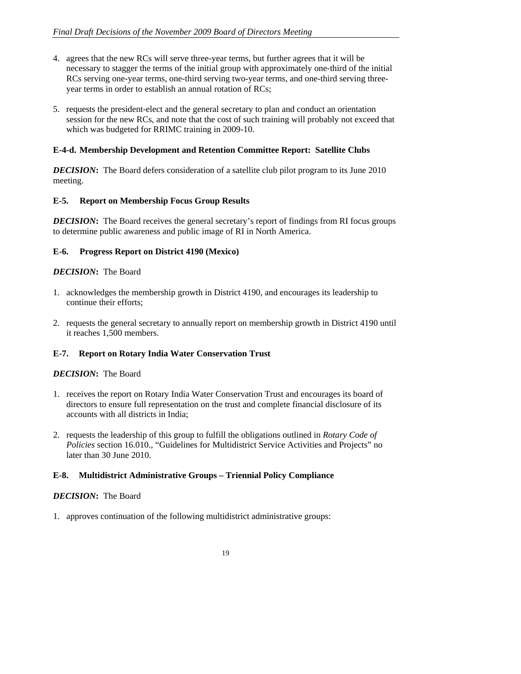- 4. agrees that the new RCs will serve three-year terms, but further agrees that it will be necessary to stagger the terms of the initial group with approximately one-third of the initial RCs serving one-year terms, one-third serving two-year terms, and one-third serving threeyear terms in order to establish an annual rotation of RCs;
- 5. requests the president-elect and the general secretary to plan and conduct an orientation session for the new RCs, and note that the cost of such training will probably not exceed that which was budgeted for RRIMC training in 2009-10.

### **E-4-d. Membership Development and Retention Committee Report: Satellite Clubs**

*DECISION*: The Board defers consideration of a satellite club pilot program to its June 2010 meeting.

### **E-5. Report on Membership Focus Group Results**

*DECISION*: The Board receives the general secretary's report of findings from RI focus groups to determine public awareness and public image of RI in North America.

### **E-6. Progress Report on District 4190 (Mexico)**

### *DECISION***:** The Board

- 1. acknowledges the membership growth in District 4190, and encourages its leadership to continue their efforts;
- 2. requests the general secretary to annually report on membership growth in District 4190 until it reaches 1,500 members.

### **E-7. Report on Rotary India Water Conservation Trust**

### *DECISION***:** The Board

- 1. receives the report on Rotary India Water Conservation Trust and encourages its board of directors to ensure full representation on the trust and complete financial disclosure of its accounts with all districts in India;
- 2. requests the leadership of this group to fulfill the obligations outlined in *Rotary Code of Policies* section 16.010., "Guidelines for Multidistrict Service Activities and Projects" no later than 30 June 2010.

### **E-8. Multidistrict Administrative Groups – Triennial Policy Compliance**

### *DECISION***:** The Board

1. approves continuation of the following multidistrict administrative groups: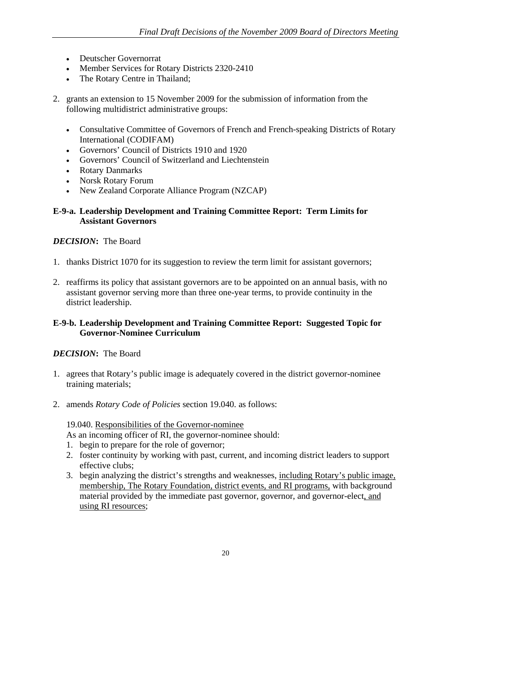- Deutscher Governorrat
- Member Services for Rotary Districts 2320-2410
- The Rotary Centre in Thailand;
- 2. grants an extension to 15 November 2009 for the submission of information from the following multidistrict administrative groups:
	- Consultative Committee of Governors of French and French-speaking Districts of Rotary International (CODIFAM)
	- Governors' Council of Districts 1910 and 1920
	- Governors' Council of Switzerland and Liechtenstein
	- Rotary Danmarks
	- Norsk Rotary Forum
	- New Zealand Corporate Alliance Program (NZCAP)

### **E-9-a. Leadership Development and Training Committee Report: Term Limits for Assistant Governors**

### *DECISION***:** The Board

- 1. thanks District 1070 for its suggestion to review the term limit for assistant governors;
- 2. reaffirms its policy that assistant governors are to be appointed on an annual basis, with no assistant governor serving more than three one-year terms, to provide continuity in the district leadership.

### **E-9-b. Leadership Development and Training Committee Report: Suggested Topic for Governor-Nominee Curriculum**

# *DECISION***:** The Board

- 1. agrees that Rotary's public image is adequately covered in the district governor-nominee training materials;
- 2. amends *Rotary Code of Policies* section 19.040. as follows:

19.040. Responsibilities of the Governor-nominee

- As an incoming officer of RI, the governor-nominee should:
- 1. begin to prepare for the role of governor;
- 2. foster continuity by working with past, current, and incoming district leaders to support effective clubs;
- 3. begin analyzing the district's strengths and weaknesses, including Rotary's public image, membership, The Rotary Foundation, district events, and RI programs, with background material provided by the immediate past governor, governor, and governor-elect, and using RI resources;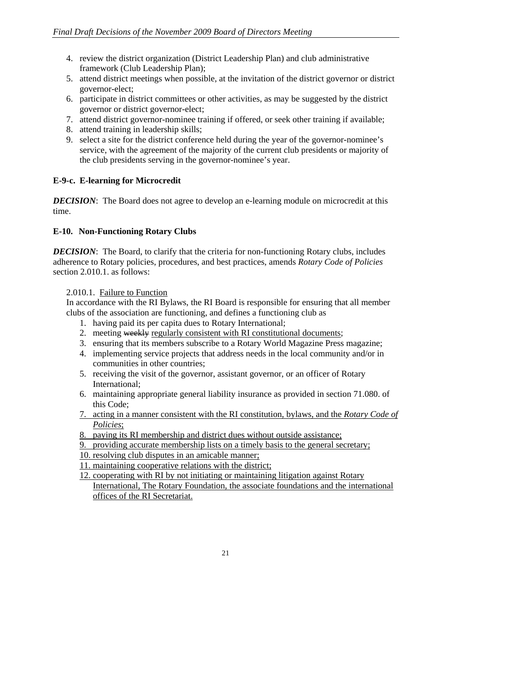- 4. review the district organization (District Leadership Plan) and club administrative framework (Club Leadership Plan);
- 5. attend district meetings when possible, at the invitation of the district governor or district governor-elect;
- 6. participate in district committees or other activities, as may be suggested by the district governor or district governor-elect;
- 7. attend district governor-nominee training if offered, or seek other training if available;
- 8. attend training in leadership skills;
- 9. select a site for the district conference held during the year of the governor-nominee's service, with the agreement of the majority of the current club presidents or majority of the club presidents serving in the governor-nominee's year.

# **E-9-c. E-learning for Microcredit**

*DECISION*: The Board does not agree to develop an e-learning module on microcredit at this time.

# **E-10. Non-Functioning Rotary Clubs**

*DECISION*: The Board, to clarify that the criteria for non-functioning Rotary clubs, includes adherence to Rotary policies, procedures, and best practices, amends *Rotary Code of Policies* section 2.010.1. as follows:

### 2.010.1. Failure to Function

In accordance with the RI Bylaws, the RI Board is responsible for ensuring that all member clubs of the association are functioning, and defines a functioning club as

- 1. having paid its per capita dues to Rotary International;
- 2. meeting weekly regularly consistent with RI constitutional documents;
- 3. ensuring that its members subscribe to a Rotary World Magazine Press magazine;
- 4. implementing service projects that address needs in the local community and/or in communities in other countries;
- 5. receiving the visit of the governor, assistant governor, or an officer of Rotary International;
- 6. maintaining appropriate general liability insurance as provided in section 71.080. of this Code;
- 7. acting in a manner consistent with the RI constitution, bylaws, and the *Rotary Code of Policies*;
- 8. paying its RI membership and district dues without outside assistance;
- 9. providing accurate membership lists on a timely basis to the general secretary;
- 10. resolving club disputes in an amicable manner;
- 11. maintaining cooperative relations with the district;

12. cooperating with RI by not initiating or maintaining litigation against Rotary International, The Rotary Foundation, the associate foundations and the international offices of the RI Secretariat.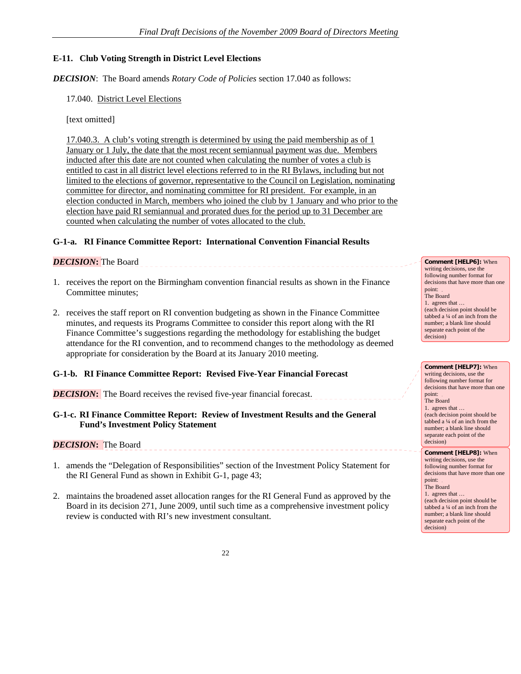# **E-11. Club Voting Strength in District Level Elections**

*DECISION*: The Board amends *Rotary Code of Policies* section 17.040 as follows:

17.040. District Level Elections

[text omitted]

17.040.3. A club's voting strength is determined by using the paid membership as of 1 January or 1 July, the date that the most recent semiannual payment was due. Members inducted after this date are not counted when calculating the number of votes a club is entitled to cast in all district level elections referred to in the RI Bylaws, including but not limited to the elections of governor, representative to the Council on Legislation, nominating committee for director, and nominating committee for RI president. For example, in an election conducted in March, members who joined the club by 1 January and who prior to the election have paid RI semiannual and prorated dues for the period up to 31 December are counted when calculating the number of votes allocated to the club.

### **G-1-a. RI Finance Committee Report: International Convention Financial Results**

### *DECISION***:** The Board

1. receives the report on the Birmingham convention financial results as shown in the Finance Committee minutes;

2. receives the staff report on RI convention budgeting as shown in the Finance Committee minutes, and requests its Programs Committee to consider this report along with the RI Finance Committee's suggestions regarding the methodology for establishing the budget attendance for the RI convention, and to recommend changes to the methodology as deemed appropriate for consideration by the Board at its January 2010 meeting.

### **G-1-b. RI Finance Committee Report: Revised Five-Year Financial Forecast**

### *DECISION*: The Board receives the revised five-year financial forecast.

### **G-1-c. RI Finance Committee Report: Review of Investment Results and the General Fund's Investment Policy Statement**

### *DECISION***:** The Board

1. amends the "Delegation of Responsibilities" section of the Investment Policy Statement for the RI General Fund as shown in Exhibit G-1, page 43;

2. maintains the broadened asset allocation ranges for the RI General Fund as approved by the Board in its decision 271, June 2009, until such time as a comprehensive investment policy review is conducted with RI's new investment consultant.

**Comment [HELP6]:** When writing decisions, use the following number format for decisions that have more than one point: The Board 1. agrees that … (each decision point should be tabbed a ¼ of an inch from the number; a blank line should separate each point of the decision)

writing decisions, use the following number format for decisions that have more than one point: .<br>The Board 1. agrees that … (each decision point should be tabbed a ¼ of an inch from the number; a blank line should separate each point of the decision) **Comment [HELP8]:** When writing decisions, use the

**Comment [HELP7]:** When

following number format for decisions that have more than one point: The Board 1. agrees that … (each decision point should be tabbed a ¼ of an inch from the number; a blank line should separate each point of the decision)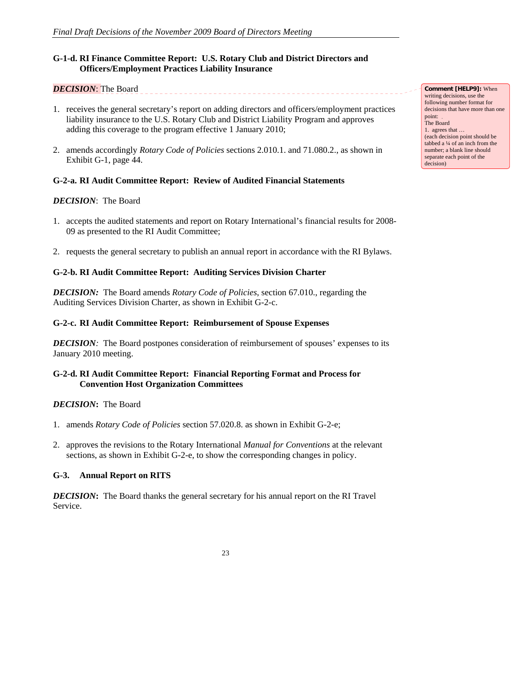# **G-1-d. RI Finance Committee Report: U.S. Rotary Club and District Directors and Officers/Employment Practices Liability Insurance**

# *DECISION*: The Board

- 1. receives the general secretary's report on adding directors and officers/employment practices liability insurance to the U.S. Rotary Club and District Liability Program and approves adding this coverage to the program effective 1 January 2010;
- 2. amends accordingly *Rotary Code of Policies* sections 2.010.1. and 71.080.2., as shown in Exhibit G-1, page 44.

### **G-2-a. RI Audit Committee Report: Review of Audited Financial Statements**

### *DECISION*: The Board

- 1. accepts the audited statements and report on Rotary International's financial results for 2008- 09 as presented to the RI Audit Committee;
- 2. requests the general secretary to publish an annual report in accordance with the RI Bylaws.

#### **G-2-b. RI Audit Committee Report: Auditing Services Division Charter**

*DECISION:* The Board amends *Rotary Code of Policies*, section 67.010., regarding the Auditing Services Division Charter, as shown in Exhibit G-2-c.

#### **G-2-c. RI Audit Committee Report: Reimbursement of Spouse Expenses**

*DECISION*: The Board postpones consideration of reimbursement of spouses' expenses to its January 2010 meeting.

### **G-2-d. RI Audit Committee Report: Financial Reporting Format and Process for Convention Host Organization Committees**

### *DECISION***:**The Board

- 1. amends *Rotary Code of Policies* section 57.020.8. as shown in Exhibit G-2-e;
- 2. approves the revisions to the Rotary International *Manual for Conventions* at the relevant sections, as shown in Exhibit G-2-e, to show the corresponding changes in policy.

### **G-3. Annual Report on RITS**

*DECISION***:** The Board thanks the general secretary for his annual report on the RI Travel Service.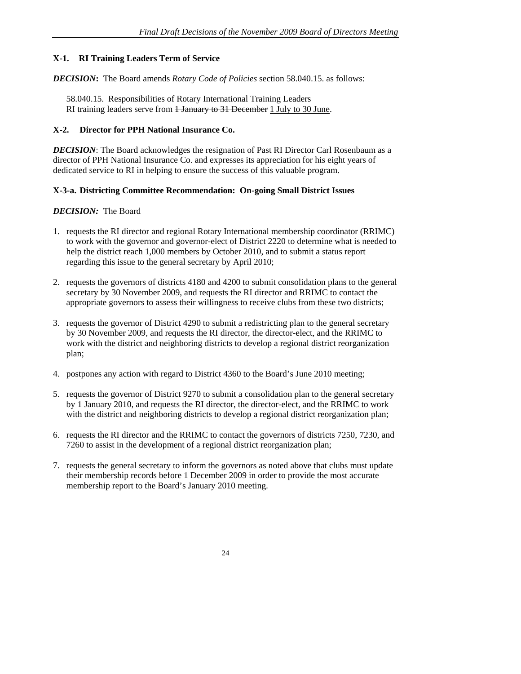# **X-1. RI Training Leaders Term of Service**

*DECISION***:** The Board amends *Rotary Code of Policies* section 58.040.15. as follows:

58.040.15. Responsibilities of Rotary International Training Leaders RI training leaders serve from <del>1 January to 31 December</del> 1 July to 30 June.

#### **X-2. Director for PPH National Insurance Co.**

*DECISION*: The Board acknowledges the resignation of Past RI Director Carl Rosenbaum as a director of PPH National Insurance Co. and expresses its appreciation for his eight years of dedicated service to RI in helping to ensure the success of this valuable program.

### **X-3-a. Districting Committee Recommendation: On-going Small District Issues**

- 1. requests the RI director and regional Rotary International membership coordinator (RRIMC) to work with the governor and governor-elect of District 2220 to determine what is needed to help the district reach 1,000 members by October 2010, and to submit a status report regarding this issue to the general secretary by April 2010;
- 2. requests the governors of districts 4180 and 4200 to submit consolidation plans to the general secretary by 30 November 2009, and requests the RI director and RRIMC to contact the appropriate governors to assess their willingness to receive clubs from these two districts;
- 3. requests the governor of District 4290 to submit a redistricting plan to the general secretary by 30 November 2009, and requests the RI director, the director-elect, and the RRIMC to work with the district and neighboring districts to develop a regional district reorganization plan;
- 4. postpones any action with regard to District 4360 to the Board's June 2010 meeting;
- 5. requests the governor of District 9270 to submit a consolidation plan to the general secretary by 1 January 2010, and requests the RI director, the director-elect, and the RRIMC to work with the district and neighboring districts to develop a regional district reorganization plan;
- 6. requests the RI director and the RRIMC to contact the governors of districts 7250, 7230, and 7260 to assist in the development of a regional district reorganization plan;
- 7. requests the general secretary to inform the governors as noted above that clubs must update their membership records before 1 December 2009 in order to provide the most accurate membership report to the Board's January 2010 meeting.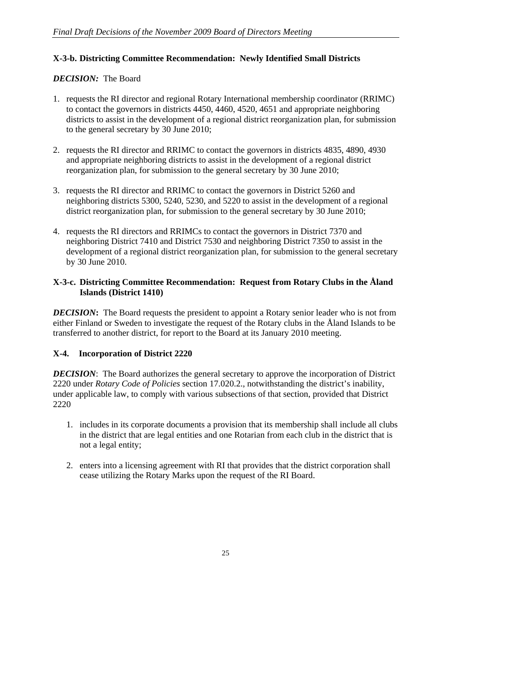## **X-3-b. Districting Committee Recommendation: Newly Identified Small Districts**

### *DECISION:* The Board

- 1. requests the RI director and regional Rotary International membership coordinator (RRIMC) to contact the governors in districts 4450, 4460, 4520, 4651 and appropriate neighboring districts to assist in the development of a regional district reorganization plan, for submission to the general secretary by 30 June 2010;
- 2. requests the RI director and RRIMC to contact the governors in districts 4835, 4890, 4930 and appropriate neighboring districts to assist in the development of a regional district reorganization plan, for submission to the general secretary by 30 June 2010;
- 3. requests the RI director and RRIMC to contact the governors in District 5260 and neighboring districts 5300, 5240, 5230, and 5220 to assist in the development of a regional district reorganization plan, for submission to the general secretary by 30 June 2010;
- 4. requests the RI directors and RRIMCs to contact the governors in District 7370 and neighboring District 7410 and District 7530 and neighboring District 7350 to assist in the development of a regional district reorganization plan, for submission to the general secretary by 30 June 2010.

### **X-3-c. Districting Committee Recommendation: Request from Rotary Clubs in the Åland Islands (District 1410)**

*DECISION*: The Board requests the president to appoint a Rotary senior leader who is not from either Finland or Sweden to investigate the request of the Rotary clubs in the Åland Islands to be transferred to another district, for report to the Board at its January 2010 meeting.

# **X-4. Incorporation of District 2220**

*DECISION*: The Board authorizes the general secretary to approve the incorporation of District 2220 under *Rotary Code of Policies* section 17.020.2., notwithstanding the district's inability, under applicable law, to comply with various subsections of that section, provided that District 2220

- 1. includes in its corporate documents a provision that its membership shall include all clubs in the district that are legal entities and one Rotarian from each club in the district that is not a legal entity;
- 2. enters into a licensing agreement with RI that provides that the district corporation shall cease utilizing the Rotary Marks upon the request of the RI Board.